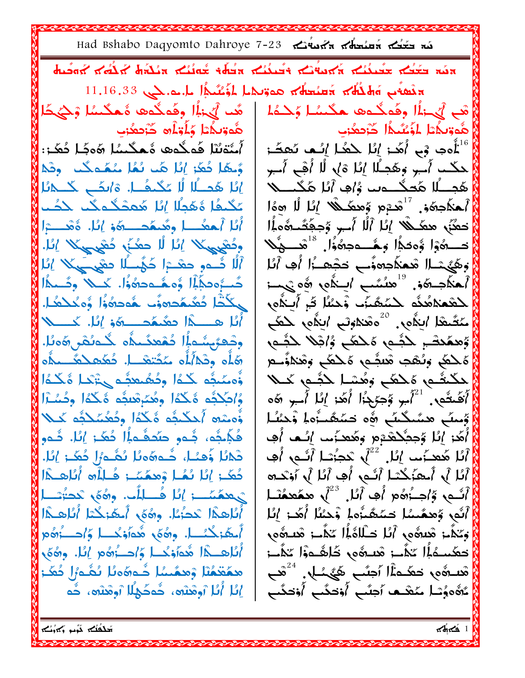Had Bshabo Daqyomto Dahroye 7-23 مَنْ فَسَمَعْ بِمَ يَسْتَمَعْ بِهِ Had Bshabo Daqyomto Dahroye 7-23 للموارض الأطارة الم المكاس الأملية الأطاع المحامل الأست المستحد المستحد المتحد المتحد المستحد المستحد المستحد تَنْتَقَعْبِ مَقَدَّقَة مَسْتَعَلَّة هُوَتِكْمَا مَؤْشَيْدًا مَا. مِنْكَي 11.16.33 هْدِ ﴾ السُنْدَا وهُمكُمْ هَكْسُلٌ وَحَدُمُهُ ِّهُد ٱلِّ;إِلَّا وِقَمِيْهُمِهِ ةَسْكُسُلَ وَلِكِيْخَا هُوزِيكُمْ وَلَمْزَاهِ كُرْبَعْنِي |هُوزىدُنا لمُؤَسِّدُا كَرْحِعُزِب أَأُهِدِ فَي أُهَٰذِ إِنَّا لَحْقُـا إِنَّـمٍ نَهِضُـٰ;" أَمْتَىْلَا هُمِكُمْ هُ مِكْسُلٍ هُوجًا مُعَذِ: حكَّـــٰ أُمــِر وَهُـمِــُلا إِنَّا هَا لَا أُهْبِ أُمــِر وًمطَا دُهَّ: إِنَّا هَبَ نُمَّا مُنَّصَّدَتَ وَذَهِ إِنَا هَمِــُالِ لَا عَكَــفًــا. 16نَفَــح كَــــمْنَا هَجِـــلًا هَجَـكَـــوب وُ/فِ ٱبْلِ هَكْــــلا أَهْذَاجِهَوْ. <sup>17</sup>شَدْمٍ وَمُعَكُم إِمَّا لَا هِهَ! تكْتْفَا ةَهْجُلَا إِبْلَ هُمْجْكُمْكُتْ حْجُبْ حَمْنَى محمَّــهُ ۚ إِنَّا أَلًا أَـــِر وَّحِجَّتَـــوَّهَ! أُمُل أحدُّ لِ ومُحكَّد وَّذِ إِمَّا. وَهُدَّرَا حَـــهُوۡا وُوَفَجُا ۖ وِـمُـــوَجَهُوۡا ۖ ۚ ثَقَـــوَيَٰلا وتُشْهِيهَا إِنَّا لَّا حَقَّنَ، تُشْهِيهَا إِنَّا. أَلًا فَــو حقـْ ا حَهَّــُلا حقَّىــَـهِــَـلا إِنَّا وَهَّيَّـْـال مُعَذَّجهوْنَــب حَجْهــزُا أُهِ أَنَّا أَحْكَاهِــهُوْ.  $^{\rm 19}$ هنْسَبِ ابْتِكْمِ، هِيَّاهِيَا أَمْسِيْمُهُمْ صَّرُّهِ دَهَٰٓءُ ۖ وَهُ هُـدَدَهُوَۚ ۚ }. كَـــلا وَشَـــداً } وَكَذَا دُهُبِمُدُونَ هُودُوُوْا وُوخُلِطْا. لِلْعُمَلَاهُدُه لِلْسَّفَّذُ وَْحَمَّلُ ثَمِ أَبِنَاهِ ۖ مَتَّسْعْلِ ابِنُلُومِ. <sup>20</sup>ەشْد*اۋتىي ابْنُلُوم حكك* .وضْعَفِيشُولُمْ الصُّعْدُمِيةُ مِنْكُمْ مُوَمَّلْ. وَمِعَمَّدَ ۖ لِمَ حَمْدِ وَاللَّهُ وَالْمَلَامِ لَاجُسَامِ هُكْفُ وِنُقْتِ شَيْئًا هُكْفًى وَشَدْوُسُمْ هَٰأُه وَثَمْأَلُمْهِ مُئَتَّنَعْكَ. تُعَمِّلُهُ حَذَّرُهِ ِّ حَكْشُفُ هَ حَكَب وَهُسْـا حَدَّـفٍ حَــلاً<br>أَكَشَفَ . <sup>21</sup>أسِ وَجَرَجْاً أَهَدَ إِنَّا أَسِر هَ هَ وَّمِمُبِّهِ كَتْمًا وَحُصُّعِيْهِ بِتَرْبَعِ وَكُمَاءَ وُاصَحْفُه هُكُمُّا وهُمُرْهَدِهُم هُكُمُّا وصُمُـٰٓٱل ؤْهِنْهِ أَحْكُثُوهُ ةَكْدًا وِتُعُنَّلُاثُه كَلَّلًا أَوَّسَلَ هِسَّكْسًٰ ۞هِ حَسَّقُتُوهِ وَحَسَّا قُلَّمِيثُه، فُ1و حَنُدَقُـه أَلا دُهَـٰ: إِنُا. شُـهو أَهَٰذِ إِنَّا وَجِجَلَّحْتَوْمِ وَهُعِنَّ مِبِ إِنِّـ أَفِ لَّنَا هَعجَنَ إِيَّا إِلَيْ  $\int^{22}$ لا كَجُرْتِيا أَبَّى أُفِ $\int$ فْكْلًا وَقْتُلْ، شُدْهُوبُلْ بُغْدَرُلْ فُعَدْ: إِبْلَ. دُهَـٰ: إِنَّا نُعُـا وَهِعَمَـٰ: فَـالْمُ أُنَّاهِــدًا أَنَا أَبِي أَسْعَنُكُمْا أَنَّسَى أَبَّ أَنَا أَبِي أَوْكَتُ  $\int_0^\infty \frac{1}{2} e^{-\frac{1}{2}x^2} dx$ ابُ  $\int_0^\infty \frac{1}{2} \int_0^\infty e^{-\frac{1}{2}x^2} dx$ ابُ مِحْمَدِ يْ هِدْمُنْتُ إِنَّا هُـَـالْمُ، وَهُوَى تَدْتُوْتِهِ ا أَلَٰهِ وَحَمَّسُا حَسَّقَۃُوا وَحِنُا أُهُدَ إِنَّا أُبْلِهِكَمَا تَحِدُّيًا. وَهُمَّى أَحْمَدِكْمَا أُبْلِهِكَمَا أَحْفَزِكْنُــا. وِهُيَّ هُدَاَوْكُــا وَاحْدُوْهُمْ وَتَكُم: هُدهُٯ أَنُا حَـلَاهُ أَا تَكُم: هُدهُٯ حَكَسـهُ|ُا تَـٰهُـــٰٓ; مْسـوُّى خَاهُـــهِۥٓا تَـٰهَـــٰٓ; أُبْلِهِكُمَا هُدَافِيْهَا وَاحِدُوهُمْ إِبْلَ. وَهُيَ هَدهُ مِهْ حَمَّدَاْ أَجِنَّبِ هَيُّسُلِ .  $\frac{2}{3}$ هُبِ ھكَقَدْمُنْا وْھكَسْمَا كُـ2006ا تُكْـ2{لَّ تُقَدَّرُ إِنَّا أَبَّلَ ٱوقَعْلَهِ، خُوجُهُا ٱوقَعْلَهِ، خُو | مُّەُەوُسْا مَكْسُد اُجِنُب اُوْحَكُب اُوْحَكُب

كمنكم لمَهْم وكمُولكة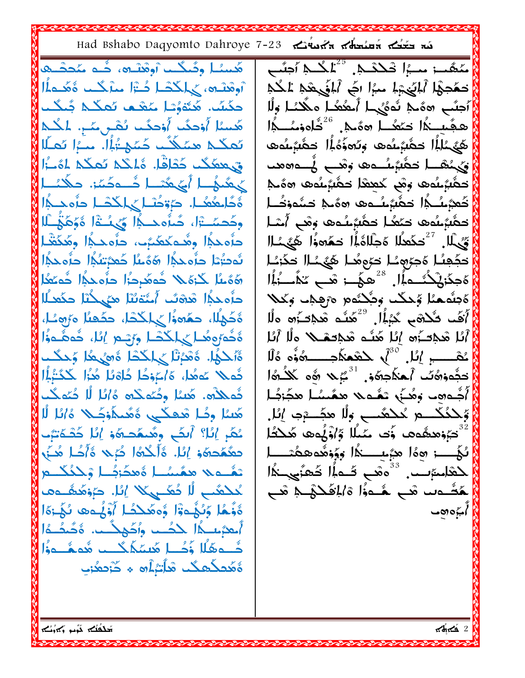Had Bshabo Daqyomto Dahroye 7-23 مَدْسُمْ بِهِمْ Had Bshabo Daqyomto Dahroye 7-23

هُسْنَا وِضُكُـب ٱوقَتَلَـهِ، شُـه مُحَصَّـهِ أوقتسه، جحلكتْما دُرًّا مِتْرَكْبٍ وَمُحَمَّلًا أَ حكْسًا، هُنْتَوُسًا مُحْمَد تُعكِّلُ مُحْكَمًا هُسْمًا أَوْحِفُ أَوْحِكُ لُقْسِمًا. لَكُمْ تَمَكُّمْ مِسْكُبُ دُسُوخُوُّلٌ. سَـرُا تَمَلَّل ق معَكَب حَدَاقًا. مُلكَم تَعكُم لمُسَرَّا حَمَلَهُمْ السَّمْعَةَ السَّمْعَةِ. حَلَّكَ الْمَعْرَضِ فَدَّا مِعْعُدا. دَرْقِدُنَا حَاكَدْ ا دَرُه حَجَّا وحَحِسَــٰٓةًا، حَــزُه حـــجُّا وَّىـٰـَـٰٓةَا هُوَهَـٰٓهَٰـٰلًا حزُّه حكِّل وهُــمكعَمَيُــ، حزَّه حـكِل ومَحَقْـل لَّوْحَتُوْا جِزُوْجِهِمْ الْمَوْسُلُمْ جَعَيْتِيْكُمْ جَزَوْجِكُمْ ا الَّهُمُلَّ حَدَّمُ لَا حُدَثَهُ حَدَّدُوا حَدَّمُ الْحَدِّمُ الْحَدِّمُ الْحَدِّمُ الْحَدِّمُ الْحَد حزَّەحدًا شەنَّب أَسْتَاسًا منهكُنا حكَمحلًا ةَحَمْلًا، حمَّموْا كِلْكَتْلْ، حمَّعْلَا وَرُوحُلْ، ةَدْوَوَهُــل كِـلْكَـْـَـل وَرُبْـِعِ إِيْلَ خُوصُـووُل ةَ/حَجُلْ وَهْرُتْلَ كَالْحَدَلَ وَهُوَ وَهُمَا وَحَكَّبَ خَملا عَمعُل وَاعْوَدُا دُاوْئا هُدًا حَكَتُوْلًا ا ثَمطلُه. هَٰنئا وضُمطُه هُانُا لَّا ضُمطُت هُعِمًا وَضًا مُحِكِّبٍ ةَمُعِجَّذِكُمْ وَإِمَّا لَهُ مُكَرِ إِنَّا؟ أَلَكَ وَهُمَعْدَهُوْ إِنَّا خَشْفَتَهِ حعَكَمَدهَوْ إِبْلَ. ةَأَبْحُهُ! دُبَيْ ةَأَجُلْ هُنَّى تعُـــم لا معَــُسُـــا ةَمحَّرْجُــا وَلَكُــُــمِ ىُ*ْ*لِكْتُبِ لَّا تُشَبِيكَلا إِبَّا. دَرْوْشُشُّــْ2، ةُؤُهُا وَنُؤُورَةُا وُوهَٰكِكُمْ أَوْلُوهِ لَكُوْءَا أَبْعِبْهِما كُلُّفْسِي وَأَكْمِكْسَاءَ وَأَصْطَدُا دُے هَال وُدُّے هَٰنَنَّهُ جُبَ هُوَ هُوَ وُلَ ةَ هُدَدُهِكُ شَأْتَهُ أَه \* خَرْدِهُ بِ

مَعْصَدِ مِبْرَا خَلَقَتِهِ. <sup>25</sup>نَلَكُمْ أَجِئَب لِمَكْذُ مُصْرِفُهُمْ أَبْدِ لِمَبْرِزِهِمْ الْمُحَمَّدِ الْمُحَمَّدِ الْمُحَمَّدِ أَجِنَّبِ 30هُـبُ نُوهُنُ لِمِرُوْهُ فَيَ أَسْتَحَفْظُ مِلَا الْمَلَاءُ وَلَٰا هِجَْسِيدًا حَمَّضًا هِمَّى الْأَخْلُونِسُــٰدًا ِ هَيُمْلِمُ! حَـمَّبَبُمُـمَا وَ*نُ*هوَّهُ£ًا حَـمَّبَبُمُـمَا تَكْتُمُتُمَا حَقَّبٌَ شُـدَهَا وَقَبَ لَــدَهَمْنِيَّ حَمْبُهُمُو وَمَعٍ كَعِيقًا حَمَّبُهُمُو 50\$ حَمَّدٍ أَ كَعبَىسُــكَل حَمَّيَىسُــمِ ۞ وَمَــج حَـسُووْخُـــل حَهَّبُّسُوها حَكَمًا حَهَّبُّسُوها وَهْلِ أَسْلَ وَّيُّ الْمَرْفَعُ الْمَالَةُ الْمَالَةُ مِنْ الْمَرْضَى الْمَرْضَى الْمَرْضَى الْمَرْضَى الْمَرْضَى ِّ دَجَّهَـُـٰا هَجَرْهِـُـا حَرَّهِ هُـا هَيُّـُـاا دَدَّ:ـُـا<br>هَجَدَّنَ لَكُـُـــهاا. <sup>28</sup>هجُـــ: هَـــ تَـٰمُــــزُّـاُا هُجشُعْنَا وُحكْت وِجُكْتُوم ورُهِجْت وِكْلا أَفَ حَكْشَى كَبُلُما فَتَكْسُم شَجْعَتُوه وَلَا أَنَا مَدِدَ أَمَّا مَنَّد مَدِدَهَــلا ه أَنَّا أَنَّا  $\ell$  $\int_0^3 \hat{\mathbf{e}} \cdot \hat{\mathbf{e}}$  $\int$ حَجْمِوْهُ صَدْحَمَوْ الْمَسْكُمْحِينَ مِنْ مَحْلِمَةَ مَحْلَمَةَ الْمُحَمَّ أُجْـدوب وِهُــَٰٓنِ يَـقُـد لا همَّـسُـل هجَّـزَجُـل وَّكْكُـــــم كُـكعَّــــــح ولًا محَـــــــتِهِ إِنًا. خَبُوْهِهُمْ وَدَا مَمْلًا وَٱوْ لَهُمْ هَكْتُلْ $^{\text{32}}$ ىُهَّــــ: «ەَا هِبُـــــْدُا وَوُوْهُدهگْســــا<br>للْهِامنَّ ِــــ، <sup>33</sup>ەهْبِ صَّــوا الصَّصَوَىــٰدُا ِ هَشُــٰـٰ مَــــِ هُــٰدُواْ 1,6فَكَــٰهِـٰ هَـــِ أيۂ٥٥٥

كمنكم مآبة بمنها